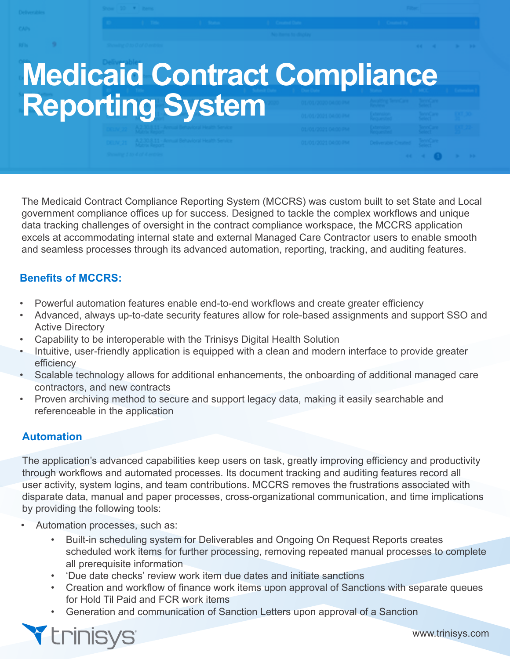# **Medicaid Contract Compliance Reporting System**

The Medicaid Contract Compliance Reporting System (MCCRS) was custom built to set State and Local government compliance offices up for success. Designed to tackle the complex workflows and unique data tracking challenges of oversight in the contract compliance workspace, the MCCRS application excels at accommodating internal state and external Managed Care Contractor users to enable smooth and seamless processes through its advanced automation, reporting, tracking, and auditing features.

## **Benefits of MCCRS:**

- Powerful automation features enable end-to-end workflows and create greater efficiency
- Advanced, always up-to-date security features allow for role-based assignments and support SSO and Active Directory
- Capability to be interoperable with the Trinisys Digital Health Solution
- Intuitive, user-friendly application is equipped with a clean and modern interface to provide greater efficiency
- Scalable technology allows for additional enhancements, the onboarding of additional managed care contractors, and new contracts
- Proven archiving method to secure and support legacy data, making it easily searchable and referenceable in the application

# **Automation**

The application's advanced capabilities keep users on task, greatly improving efficiency and productivity through workflows and automated processes. Its document tracking and auditing features record all user activity, system logins, and team contributions. MCCRS removes the frustrations associated with disparate data, manual and paper processes, cross-organizational communication, and time implications by providing the following tools:

- Automation processes, such as:
	- Built-in scheduling system for Deliverables and Ongoing On Request Reports creates scheduled work items for further processing, removing repeated manual processes to complete all prerequisite information
	- 'Due date checks' review work item due dates and initiate sanctions
	- Creation and workflow of finance work items upon approval of Sanctions with separate queues for Hold Til Paid and FCR work items
	- Generation and communication of Sanction Letters upon approval of a Sanction



www.trinisys.com